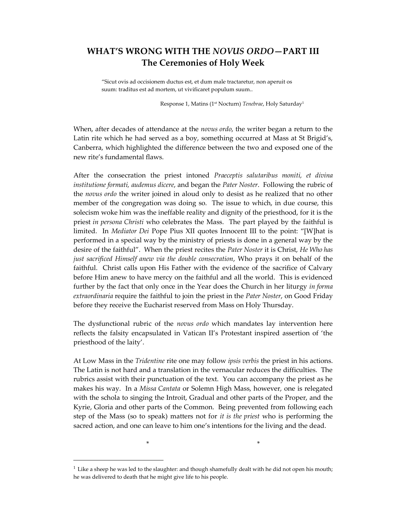## WHAT'S WRONG WITH THE NOVUS ORDO—PART III The Ceremonies of Holy Week

"Sicut ovis ad occisionem ductus est, et dum male tractaretur, non aperuit os suum: traditus est ad mortem, ut vivificaret populum suum..

Response 1, Matins (1<sup>st</sup> Nocturn) Tenebrae, Holy Saturday<sup>1</sup>

When, after decades of attendance at the *novus ordo*, the writer began a return to the Latin rite which he had served as a boy, something occurred at Mass at St Brigid's, Canberra, which highlighted the difference between the two and exposed one of the new rite's fundamental flaws.

After the consecration the priest intoned Praeceptis salutaribus moniti, et divina institutione formati, audemus dicere, and began the Pater Noster. Following the rubric of the *novus ordo* the writer joined in aloud only to desist as he realized that no other member of the congregation was doing so. The issue to which, in due course, this solecism woke him was the ineffable reality and dignity of the priesthood, for it is the priest in persona Christi who celebrates the Mass. The part played by the faithful is limited. In Mediator Dei Pope Pius XII quotes Innocent III to the point: "[W]hat is performed in a special way by the ministry of priests is done in a general way by the desire of the faithful". When the priest recites the *Pater Noster* it is Christ, *He Who has* just sacrificed Himself anew via the double consecration, Who prays it on behalf of the faithful. Christ calls upon His Father with the evidence of the sacrifice of Calvary before Him anew to have mercy on the faithful and all the world. This is evidenced further by the fact that only once in the Year does the Church in her liturgy in forma extraordinaria require the faithful to join the priest in the Pater Noster, on Good Friday before they receive the Eucharist reserved from Mass on Holy Thursday.

The dysfunctional rubric of the *novus ordo* which mandates lay intervention here reflects the falsity encapsulated in Vatican II's Protestant inspired assertion of 'the priesthood of the laity'.

At Low Mass in the Tridentine rite one may follow ipsis verbis the priest in his actions. The Latin is not hard and a translation in the vernacular reduces the difficulties. The rubrics assist with their punctuation of the text. You can accompany the priest as he makes his way. In a *Missa Cantata* or Solemn High Mass, however, one is relegated with the schola to singing the Introit, Gradual and other parts of the Proper, and the Kyrie, Gloria and other parts of the Common. Being prevented from following each step of the Mass (so to speak) matters not for *it is the priest* who is performing the sacred action, and one can leave to him one's intentions for the living and the dead.

<sup>1</sup> Like a sheep he was led to the slaughter: and though shamefully dealt with he did not open his mouth; he was delivered to death that he might give life to his people.

-

 $\star$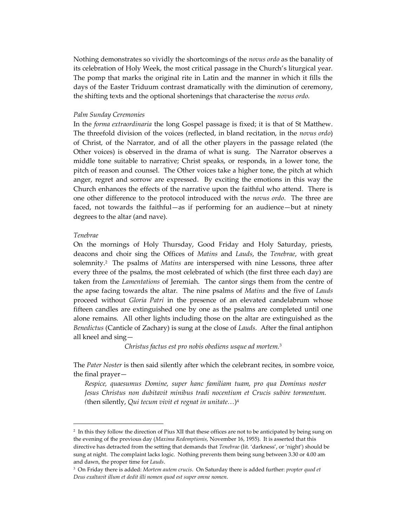Nothing demonstrates so vividly the shortcomings of the novus ordo as the banality of its celebration of Holy Week, the most critical passage in the Church's liturgical year. The pomp that marks the original rite in Latin and the manner in which it fills the days of the Easter Triduum contrast dramatically with the diminution of ceremony, the shifting texts and the optional shortenings that characterise the novus ordo.

## Palm Sunday Ceremonies

In the forma extraordinaria the long Gospel passage is fixed; it is that of St Matthew. The threefold division of the voices (reflected, in bland recitation, in the novus ordo) of Christ, of the Narrator, and of all the other players in the passage related (the Other voices) is observed in the drama of what is sung. The Narrator observes a middle tone suitable to narrative; Christ speaks, or responds, in a lower tone, the pitch of reason and counsel. The Other voices take a higher tone, the pitch at which anger, regret and sorrow are expressed. By exciting the emotions in this way the Church enhances the effects of the narrative upon the faithful who attend. There is one other difference to the protocol introduced with the novus ordo. The three are faced, not towards the faithful—as if performing for an audience—but at ninety degrees to the altar (and nave).

## Tenebrae

-

On the mornings of Holy Thursday, Good Friday and Holy Saturday, priests, deacons and choir sing the Offices of Matins and Lauds, the Tenebrae, with great solemnity.<sup>2</sup> The psalms of *Matins* are interspersed with nine Lessons, three after every three of the psalms, the most celebrated of which (the first three each day) are taken from the Lamentations of Jeremiah. The cantor sings them from the centre of the apse facing towards the altar. The nine psalms of Matins and the five of Lauds proceed without Gloria Patri in the presence of an elevated candelabrum whose fifteen candles are extinguished one by one as the psalms are completed until one alone remains. All other lights including those on the altar are extinguished as the Benedictus (Canticle of Zachary) is sung at the close of Lauds. After the final antiphon all kneel and sing—

Christus factus est pro nobis obediens usque ad mortem.<sup>3</sup>

The Pater Noster is then said silently after which the celebrant recites, in sombre voice, the final prayer—

Respice, quaesumus Domine, super hanc familiam tuam, pro qua Dominus noster Jesus Christus non dubitavit minibus tradi nocentium et Crucis subire tormentum. (then silently, Qui tecum vivit et regnat in unitate...)<sup>4</sup>

<sup>&</sup>lt;sup>2</sup> In this they follow the direction of Pius XII that these offices are not to be anticipated by being sung on the evening of the previous day (Maxima Redemptionis, November 16, 1955). It is asserted that this directive has detracted from the setting that demands that *Tenebrae* (lit. 'darkness', or 'night') should be sung at night. The complaint lacks logic. Nothing prevents them being sung between 3.30 or 4.00 am and dawn, the proper time for Lauds.

<sup>&</sup>lt;sup>3</sup> On Friday there is added: Mortem autem crucis. On Saturday there is added further: *propter quod et* Deus exaltavit illum et dedit illi nomen quod est super omne nomen.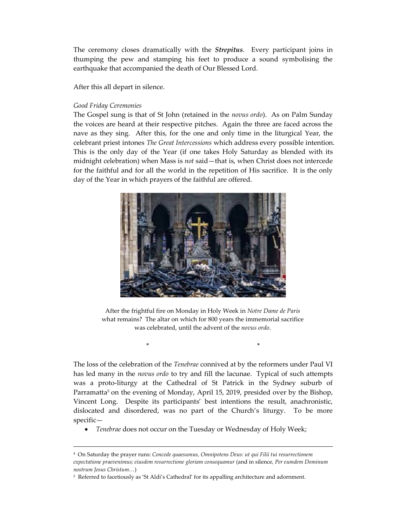The ceremony closes dramatically with the *Strepitus*. Every participant joins in thumping the pew and stamping his feet to produce a sound symbolising the earthquake that accompanied the death of Our Blessed Lord.

After this all depart in silence.

## Good Friday Ceremonies

-

The Gospel sung is that of St John (retained in the *novus ordo*). As on Palm Sunday the voices are heard at their respective pitches. Again the three are faced across the nave as they sing. After this, for the one and only time in the liturgical Year, the celebrant priest intones The Great Intercessions which address every possible intention. This is the only day of the Year (if one takes Holy Saturday as blended with its midnight celebration) when Mass is not said—that is, when Christ does not intercede for the faithful and for all the world in the repetition of His sacrifice. It is the only day of the Year in which prayers of the faithful are offered.



After the frightful fire on Monday in Holy Week in Notre Dame de Paris what remains? The altar on which for 800 years the immemorial sacrifice was celebrated, until the advent of the novus ordo.

 $\star$ 

The loss of the celebration of the *Tenebrae* connived at by the reformers under Paul VI has led many in the *novus ordo* to try and fill the lacunae. Typical of such attempts was a proto-liturgy at the Cathedral of St Patrick in the Sydney suburb of Parramatta<sup>5</sup> on the evening of Monday, April 15, 2019, presided over by the Bishop, Vincent Long. Despite its participants' best intentions the result, anachronistic, dislocated and disordered, was no part of the Church's liturgy. To be more specific—

Tenebrae does not occur on the Tuesday or Wednesday of Holy Week;

<sup>4</sup> On Saturday the prayer runs: Concede quaesumus, Omnipotens Deus: ut qui Filii tui resurrectionem expectatione praevenimus; eiusdem resurrectione gloriam consequamur (and in silence, Per eumdem Dominum nostrum Jesus Christum…)

<sup>&</sup>lt;sup>5</sup> Referred to facetiously as 'St Aldi's Cathedral' for its appalling architecture and adornment.